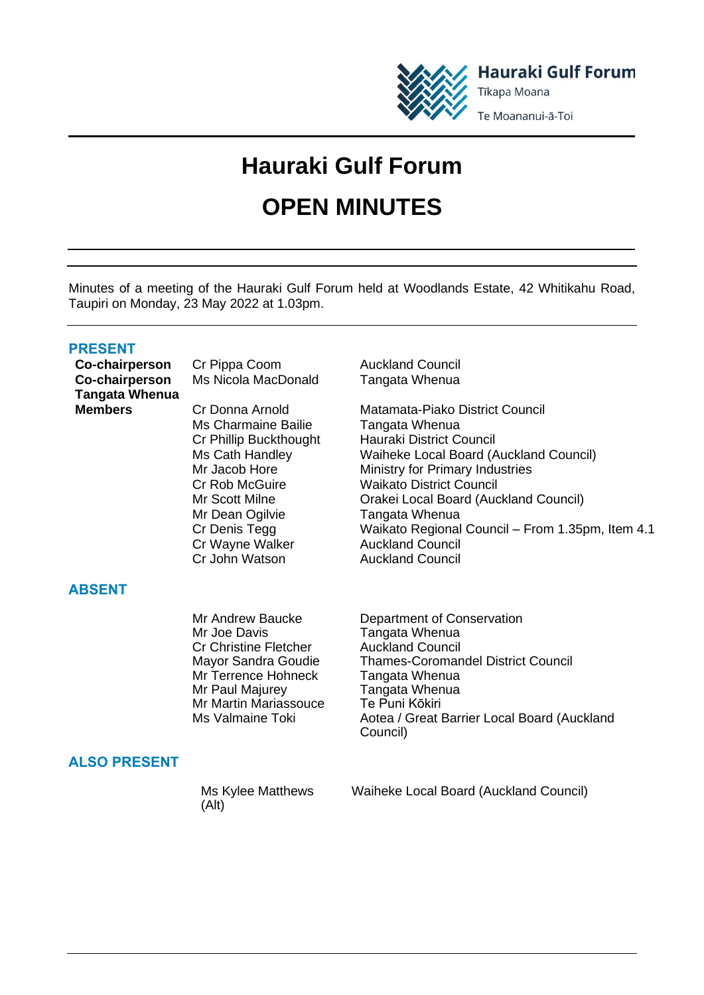

**Hauraki Gulf Forum** Tīkapa Moana

Te Moananui-ā-Toi

# **Hauraki Gulf Forum OPEN MINUTES**

Minutes of a meeting of the Hauraki Gulf Forum held at Woodlands Estate, 42 Whitikahu Road, Taupiri on Monday, 23 May 2022 at 1.03pm.

## **PRESENT**

**Co-chairperson Tangata Whenua**

**Co-chairperson** Cr Pippa Coom Auckland Council Ms Nicola MacDonald Tangata Whenua

> Ms Charmaine Bailie Tangata Whenua Mr Dean Ogilvie **Tangata Whenua** Cr Wayne Walker **Auckland Council** Cr John Watson Auckland Council

# **ABSENT**

Cr Christine Fletcher<br>Mavor Sandra Goudie Mr Terrence Hohneck Mr Paul Majurey **Tangata Whenua**<br>Mr Martin Mariassouce **Te Puni Kōkiri** Mr Martin Mariassouce<br>Ms Valmaine Toki

# **ALSO PRESENT**

Ms Kylee Matthews (Alt) Waiheke Local Board (Auckland Council)

**Members** Cr Donna Arnold Matamata-Piako District Council Cr Phillip Buckthought Hauraki District Council Ms Cath Handley Waiheke Local Board (Auckland Council) Mr Jacob Hore Ministry for Primary Industries Cr Rob McGuire Waikato District Council Mr Scott Milne Orakei Local Board (Auckland Council) Cr Denis Tegg Waikato Regional Council – From 1.35pm, Item 4.1

Mr Andrew Baucke Department of Conservation<br>Mr Joe Davis **Department Of Conservation Tangata Whenua<br>Auckland Council** Thames-Coromandel District Council<br>Tangata Whenua Aotea / Great Barrier Local Board (Auckland Council)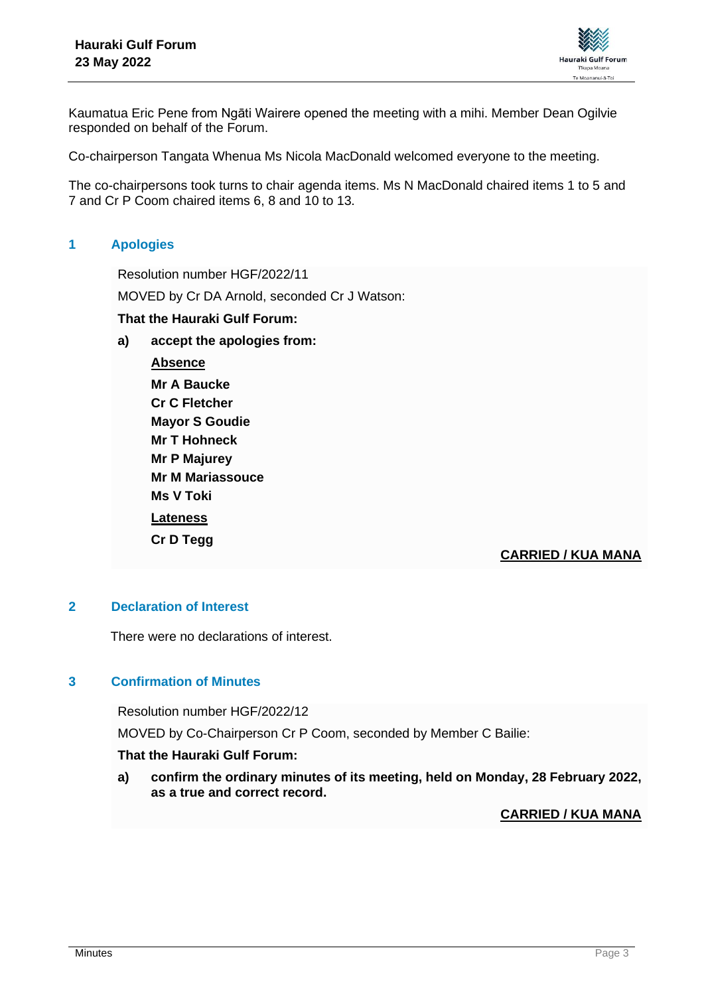

Kaumatua Eric Pene from Ngāti Wairere opened the meeting with a mihi. Member Dean Ogilvie responded on behalf of the Forum.

Co-chairperson Tangata Whenua Ms Nicola MacDonald welcomed everyone to the meeting.

The co-chairpersons took turns to chair agenda items. Ms N MacDonald chaired items 1 to 5 and 7 and Cr P Coom chaired items 6, 8 and 10 to 13.

# **1 Apologies**

Resolution number HGF/2022/11

MOVED by Cr DA Arnold, seconded Cr J Watson:

#### **That the Hauraki Gulf Forum:**

**a) accept the apologies from:**

**Absence Mr A Baucke Cr C Fletcher Mayor S Goudie Mr T Hohneck Mr P Majurey Mr M Mariassouce Ms V Toki Lateness Cr D Tegg**

## **CARRIED / KUA MANA**

#### **2 Declaration of Interest**

There were no declarations of interest.

#### **3 Confirmation of Minutes**

Resolution number HGF/2022/12

MOVED by Co-Chairperson Cr P Coom, seconded by Member C Bailie:

#### **That the Hauraki Gulf Forum:**

**a) confirm the ordinary minutes of its meeting, held on Monday, 28 February 2022, as a true and correct record.**

#### **CARRIED / KUA MANA**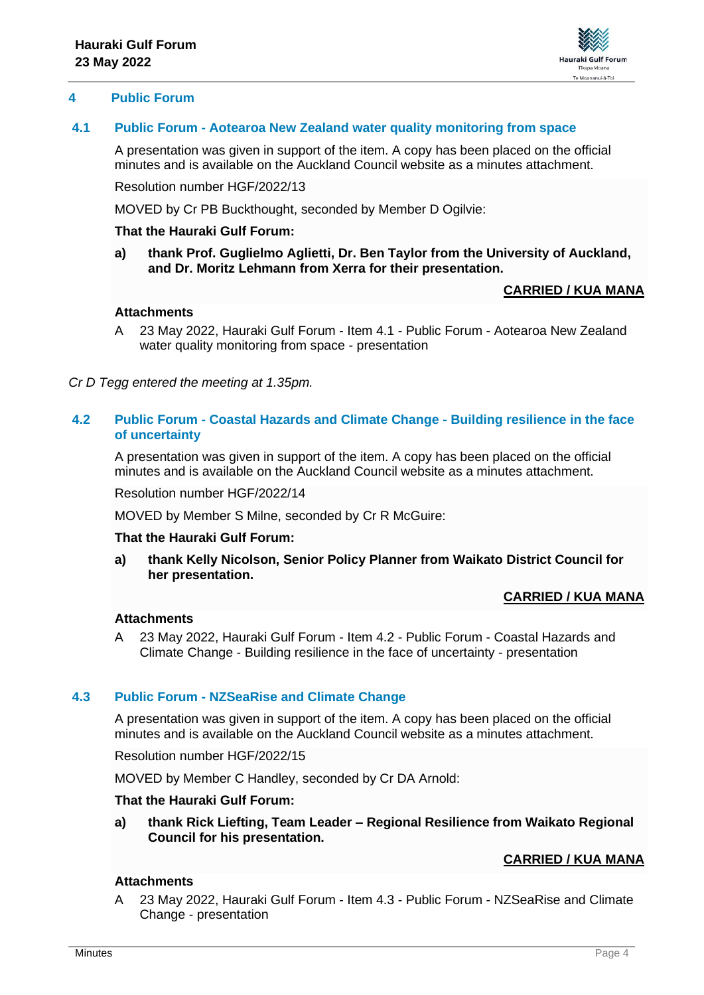

## **4 Public Forum**

## **4.1 Public Forum - Aotearoa New Zealand water quality monitoring from space**

A presentation was given in support of the item. A copy has been placed on the official minutes and is available on the Auckland Council website as a minutes attachment.

Resolution number HGF/2022/13

MOVED by Cr PB Buckthought, seconded by Member D Ogilvie:

#### **That the Hauraki Gulf Forum:**

**a) thank Prof. Guglielmo Aglietti, Dr. Ben Taylor from the University of Auckland, and Dr. Moritz Lehmann from Xerra for their presentation.**

## **CARRIED / KUA MANA**

#### **Attachments**

A 23 May 2022, Hauraki Gulf Forum - Item 4.1 - Public Forum - Aotearoa New Zealand water quality monitoring from space - presentation

*Cr D Tegg entered the meeting at 1.35pm.*

#### **4.2 Public Forum - Coastal Hazards and Climate Change - Building resilience in the face of uncertainty**

A presentation was given in support of the item. A copy has been placed on the official minutes and is available on the Auckland Council website as a minutes attachment.

Resolution number HGF/2022/14

MOVED by Member S Milne, seconded by Cr R McGuire:

#### **That the Hauraki Gulf Forum:**

**a) thank Kelly Nicolson, Senior Policy Planner from Waikato District Council for her presentation.**

## **CARRIED / KUA MANA**

#### **Attachments**

A 23 May 2022, Hauraki Gulf Forum - Item 4.2 - Public Forum - Coastal Hazards and Climate Change - Building resilience in the face of uncertainty - presentation

## **4.3 Public Forum - NZSeaRise and Climate Change**

A presentation was given in support of the item. A copy has been placed on the official minutes and is available on the Auckland Council website as a minutes attachment.

Resolution number HGF/2022/15

MOVED by Member C Handley, seconded by Cr DA Arnold:

#### **That the Hauraki Gulf Forum:**

**a) thank Rick Liefting, Team Leader – Regional Resilience from Waikato Regional Council for his presentation.**

# **CARRIED / KUA MANA**

## **Attachments**

A 23 May 2022, Hauraki Gulf Forum - Item 4.3 - Public Forum - NZSeaRise and Climate Change - presentation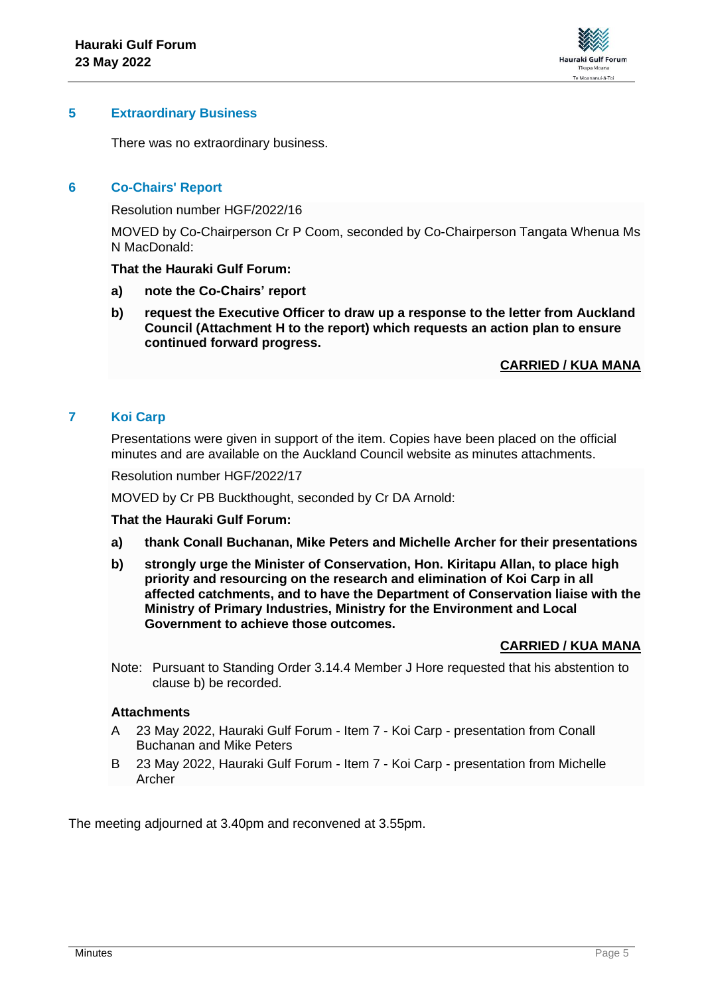

## **5 Extraordinary Business**

There was no extraordinary business.

## **6 Co-Chairs' Report**

Resolution number HGF/2022/16

MOVED by Co-Chairperson Cr P Coom, seconded by Co-Chairperson Tangata Whenua Ms N MacDonald:

#### **That the Hauraki Gulf Forum:**

- **a) note the Co-Chairs' report**
- **b) request the Executive Officer to draw up a response to the letter from Auckland Council (Attachment H to the report) which requests an action plan to ensure continued forward progress.**

## **CARRIED / KUA MANA**

## **7 Koi Carp**

Presentations were given in support of the item. Copies have been placed on the official minutes and are available on the Auckland Council website as minutes attachments.

Resolution number HGF/2022/17

MOVED by Cr PB Buckthought, seconded by Cr DA Arnold:

#### **That the Hauraki Gulf Forum:**

- **a) thank Conall Buchanan, Mike Peters and Michelle Archer for their presentations**
- **b) strongly urge the Minister of Conservation, Hon. Kiritapu Allan, to place high priority and resourcing on the research and elimination of Koi Carp in all affected catchments, and to have the Department of Conservation liaise with the Ministry of Primary Industries, Ministry for the Environment and Local Government to achieve those outcomes.**

## **CARRIED / KUA MANA**

Note: Pursuant to Standing Order 3.14.4 Member J Hore requested that his abstention to clause b) be recorded.

#### **Attachments**

- A 23 May 2022, Hauraki Gulf Forum Item 7 Koi Carp presentation from Conall Buchanan and Mike Peters
- B 23 May 2022, Hauraki Gulf Forum Item 7 Koi Carp presentation from Michelle Archer

The meeting adjourned at 3.40pm and reconvened at 3.55pm.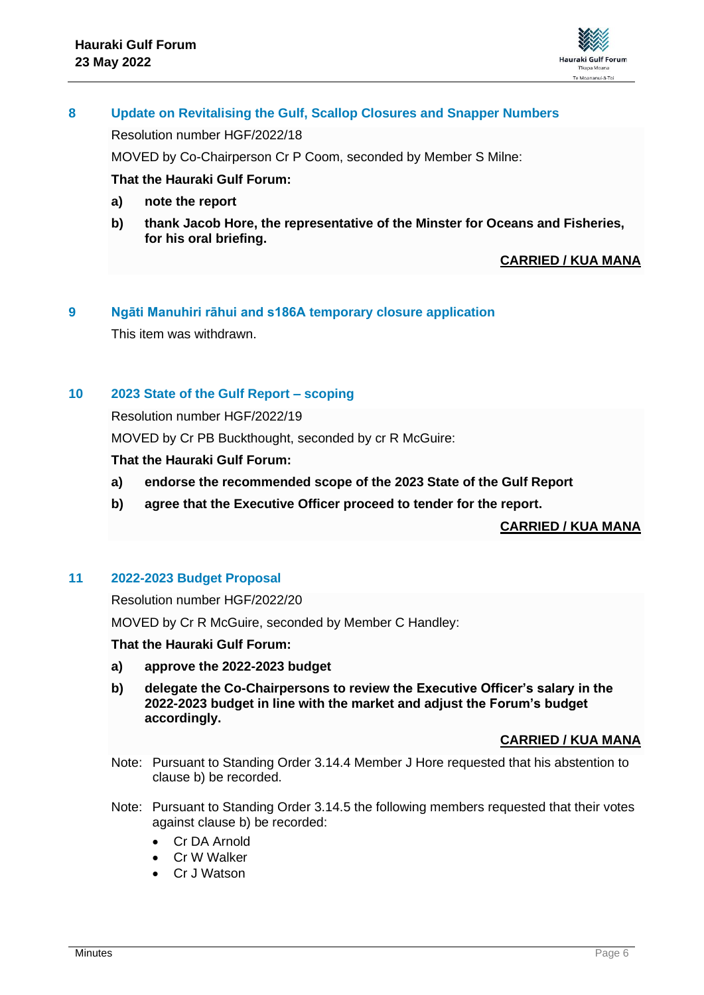

# **8 Update on Revitalising the Gulf, Scallop Closures and Snapper Numbers**

Resolution number HGF/2022/18

MOVED by Co-Chairperson Cr P Coom, seconded by Member S Milne:

## **That the Hauraki Gulf Forum:**

- **a) note the report**
- **b) thank Jacob Hore, the representative of the Minster for Oceans and Fisheries, for his oral briefing.**

# **CARRIED / KUA MANA**

# **9 Ngāti Manuhiri rāhui and s186A temporary closure application**

This item was withdrawn.

## **10 2023 State of the Gulf Report – scoping**

Resolution number HGF/2022/19

MOVED by Cr PB Buckthought, seconded by cr R McGuire:

## **That the Hauraki Gulf Forum:**

- **a) endorse the recommended scope of the 2023 State of the Gulf Report**
- **b) agree that the Executive Officer proceed to tender for the report.**

## **CARRIED / KUA MANA**

## **11 2022-2023 Budget Proposal**

Resolution number HGF/2022/20

MOVED by Cr R McGuire, seconded by Member C Handley:

## **That the Hauraki Gulf Forum:**

- **a) approve the 2022-2023 budget**
- **b) delegate the Co-Chairpersons to review the Executive Officer's salary in the 2022-2023 budget in line with the market and adjust the Forum's budget accordingly.**

## **CARRIED / KUA MANA**

- Note: Pursuant to Standing Order 3.14.4 Member J Hore requested that his abstention to clause b) be recorded.
- Note: Pursuant to Standing Order 3.14.5 the following members requested that their votes against clause b) be recorded:
	- Cr DA Arnold
	- Cr W Walker
	- Cr J Watson